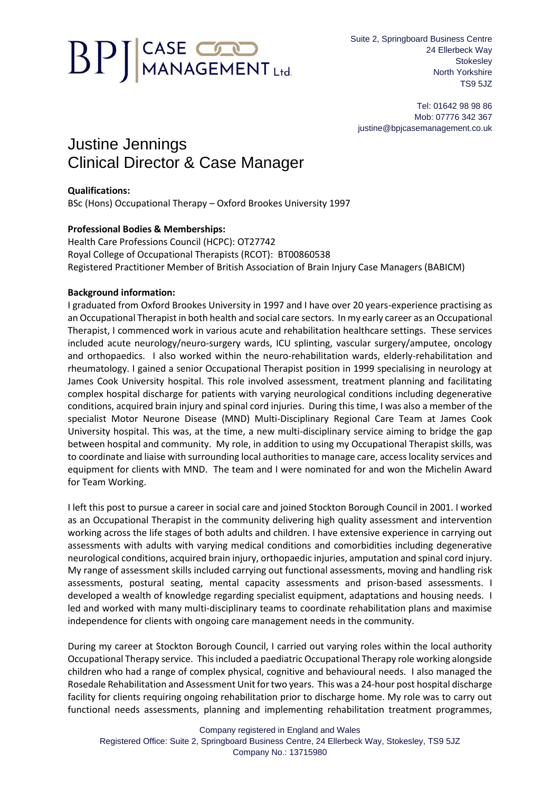# **BPJ** CASE CON

Suite 2, Springboard Business Centre 24 Ellerbeck Way **Stokeslev** North Yorkshire TS9 5JZ

Tel: 01642 98 98 86 Mob: 07776 342 367 justine@bpjcasemanagement.co.uk

## Justine Jennings Clinical Director & Case Manager

#### **Qualifications:**

BSc (Hons) Occupational Therapy – Oxford Brookes University 1997

### **Professional Bodies & Memberships:**

Health Care Professions Council (HCPC): OT27742 Royal College of Occupational Therapists (RCOT): BT00860538 Registered Practitioner Member of British Association of Brain Injury Case Managers (BABICM)

#### **Background information:**

I graduated from Oxford Brookes University in 1997 and I have over 20 years-experience practising as an Occupational Therapist in both health and social care sectors. In my early career as an Occupational Therapist, I commenced work in various acute and rehabilitation healthcare settings. These services included acute neurology/neuro-surgery wards, ICU splinting, vascular surgery/amputee, oncology and orthopaedics. I also worked within the neuro-rehabilitation wards, elderly-rehabilitation and rheumatology. I gained a senior Occupational Therapist position in 1999 specialising in neurology at James Cook University hospital. This role involved assessment, treatment planning and facilitating complex hospital discharge for patients with varying neurological conditions including degenerative conditions, acquired brain injury and spinal cord injuries. During this time, I was also a member of the specialist Motor Neurone Disease (MND) Multi-Disciplinary Regional Care Team at James Cook University hospital. This was, at the time, a new multi-disciplinary service aiming to bridge the gap between hospital and community. My role, in addition to using my Occupational Therapist skills, was to coordinate and liaise with surrounding local authorities to manage care, access locality services and equipment for clients with MND. The team and I were nominated for and won the Michelin Award for Team Working.

I left this post to pursue a career in social care and joined Stockton Borough Council in 2001. I worked as an Occupational Therapist in the community delivering high quality assessment and intervention working across the life stages of both adults and children. I have extensive experience in carrying out assessments with adults with varying medical conditions and comorbidities including degenerative neurological conditions, acquired brain injury, orthopaedic injuries, amputation and spinal cord injury. My range of assessment skills included carrying out functional assessments, moving and handling risk assessments, postural seating, mental capacity assessments and prison-based assessments. I developed a wealth of knowledge regarding specialist equipment, adaptations and housing needs. I led and worked with many multi-disciplinary teams to coordinate rehabilitation plans and maximise independence for clients with ongoing care management needs in the community.

During my career at Stockton Borough Council, I carried out varying roles within the local authority Occupational Therapy service. This included a paediatric Occupational Therapy role working alongside children who had a range of complex physical, cognitive and behavioural needs. I also managed the Rosedale Rehabilitation and Assessment Unit for two years. This was a 24-hour post hospital discharge facility for clients requiring ongoing rehabilitation prior to discharge home. My role was to carry out functional needs assessments, planning and implementing rehabilitation treatment programmes,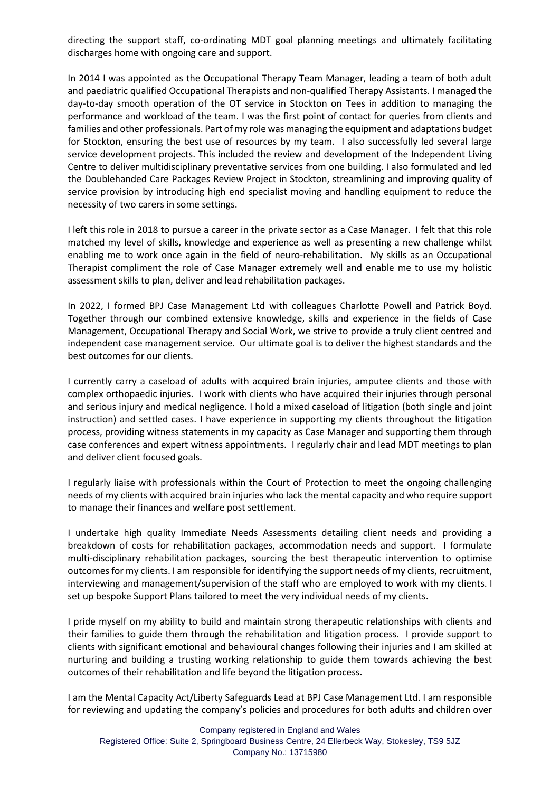directing the support staff, co-ordinating MDT goal planning meetings and ultimately facilitating discharges home with ongoing care and support.

In 2014 I was appointed as the Occupational Therapy Team Manager, leading a team of both adult and paediatric qualified Occupational Therapists and non-qualified Therapy Assistants. I managed the day-to-day smooth operation of the OT service in Stockton on Tees in addition to managing the performance and workload of the team. I was the first point of contact for queries from clients and families and other professionals. Part of my role was managing the equipment and adaptations budget for Stockton, ensuring the best use of resources by my team. I also successfully led several large service development projects. This included the review and development of the Independent Living Centre to deliver multidisciplinary preventative services from one building. I also formulated and led the Doublehanded Care Packages Review Project in Stockton, streamlining and improving quality of service provision by introducing high end specialist moving and handling equipment to reduce the necessity of two carers in some settings.

I left this role in 2018 to pursue a career in the private sector as a Case Manager. I felt that this role matched my level of skills, knowledge and experience as well as presenting a new challenge whilst enabling me to work once again in the field of neuro-rehabilitation. My skills as an Occupational Therapist compliment the role of Case Manager extremely well and enable me to use my holistic assessment skills to plan, deliver and lead rehabilitation packages.

In 2022, I formed BPJ Case Management Ltd with colleagues Charlotte Powell and Patrick Boyd. Together through our combined extensive knowledge, skills and experience in the fields of Case Management, Occupational Therapy and Social Work, we strive to provide a truly client centred and independent case management service. Our ultimate goal is to deliver the highest standards and the best outcomes for our clients.

I currently carry a caseload of adults with acquired brain injuries, amputee clients and those with complex orthopaedic injuries. I work with clients who have acquired their injuries through personal and serious injury and medical negligence. I hold a mixed caseload of litigation (both single and joint instruction) and settled cases. I have experience in supporting my clients throughout the litigation process, providing witness statements in my capacity as Case Manager and supporting them through case conferences and expert witness appointments. I regularly chair and lead MDT meetings to plan and deliver client focused goals.

I regularly liaise with professionals within the Court of Protection to meet the ongoing challenging needs of my clients with acquired brain injuries who lack the mental capacity and who require support to manage their finances and welfare post settlement.

I undertake high quality Immediate Needs Assessments detailing client needs and providing a breakdown of costs for rehabilitation packages, accommodation needs and support. I formulate multi-disciplinary rehabilitation packages, sourcing the best therapeutic intervention to optimise outcomes for my clients. I am responsible for identifying the support needs of my clients, recruitment, interviewing and management/supervision of the staff who are employed to work with my clients. I set up bespoke Support Plans tailored to meet the very individual needs of my clients.

I pride myself on my ability to build and maintain strong therapeutic relationships with clients and their families to guide them through the rehabilitation and litigation process. I provide support to clients with significant emotional and behavioural changes following their injuries and I am skilled at nurturing and building a trusting working relationship to guide them towards achieving the best outcomes of their rehabilitation and life beyond the litigation process.

I am the Mental Capacity Act/Liberty Safeguards Lead at BPJ Case Management Ltd. I am responsible for reviewing and updating the company's policies and procedures for both adults and children over